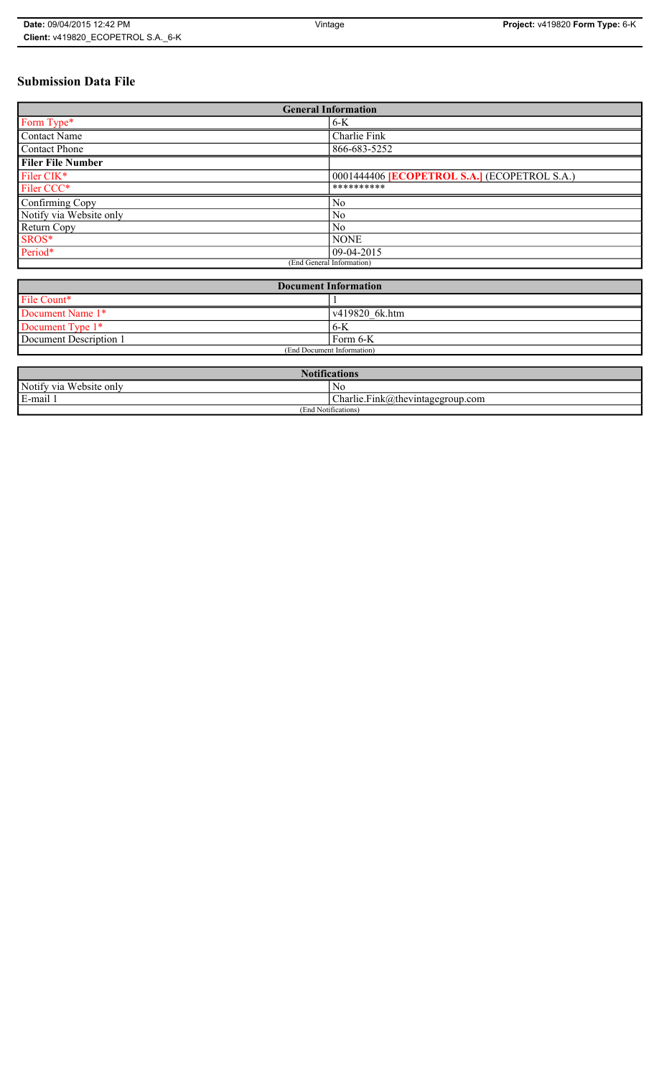# **Submission Data File**

| <b>General Information</b> |                                                   |  |
|----------------------------|---------------------------------------------------|--|
| Form Type*                 | $6-K$                                             |  |
| <b>Contact Name</b>        | Charlie Fink                                      |  |
| <b>Contact Phone</b>       | 866-683-5252                                      |  |
| <b>Filer File Number</b>   |                                                   |  |
| Filer CIK*                 | 0001444406 <b>ECOPETROL S.A.</b> (ECOPETROL S.A.) |  |
| Filer CCC*                 | **********                                        |  |
| Confirming Copy            | No                                                |  |
| Notify via Website only    | N <sub>0</sub>                                    |  |
| Return Copy                | N <sub>0</sub>                                    |  |
| SROS*                      | <b>NONE</b>                                       |  |
| Period*                    | 09-04-2015                                        |  |
| (End General Information)  |                                                   |  |

| <b>Document Information</b> |                |  |
|-----------------------------|----------------|--|
| File Count*                 |                |  |
| Document Name 1*            | v419820 6k.htm |  |
| Document Type 1*            | $6 - K$        |  |
| Document Description 1      | Form 6-K       |  |
| (End Document Information)  |                |  |

| $\mathbf{M}$<br><b>Notifications</b> |                                  |  |
|--------------------------------------|----------------------------------|--|
| Notify via Website only              | No                               |  |
| E-mail                               | Charlie.Fink@thevintagegroup.com |  |
| (End Notifications)                  |                                  |  |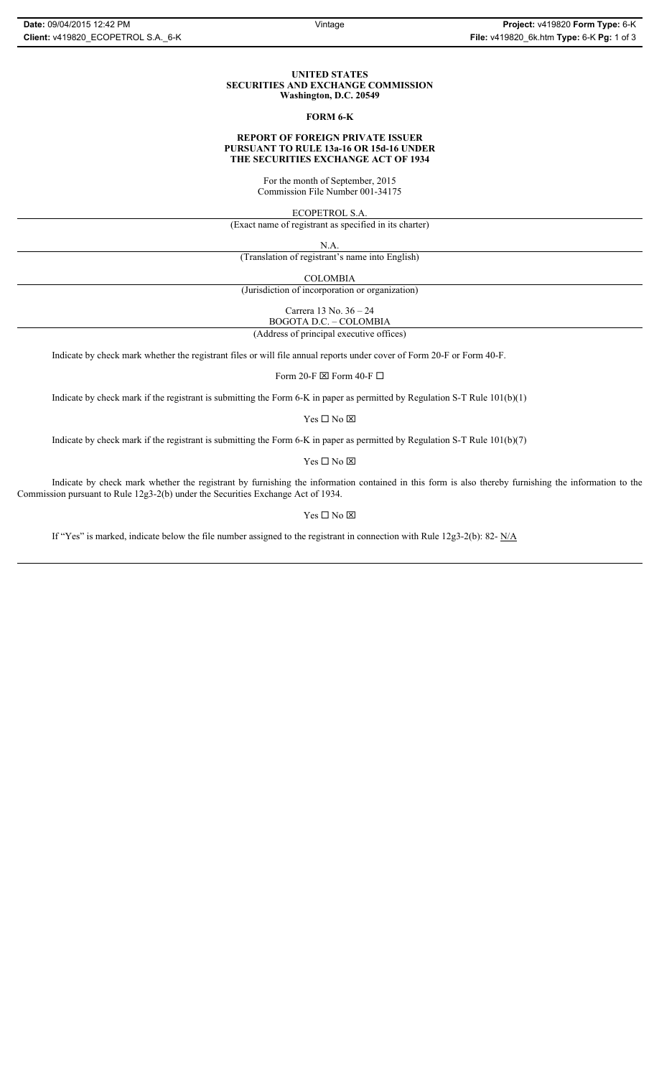#### **UNITED STATES SECURITIES AND EXCHANGE COMMISSION Washington, D.C. 20549**

#### **FORM 6-K**

# **REPORT OF FOREIGN PRIVATE ISSUER PURSUANT TO RULE 13a-16 OR 15d-16 UNDER THE SECURITIES EXCHANGE ACT OF 1934**

For the month of September, 2015 Commission File Number 001-34175

ECOPETROL S.A.

(Exact name of registrant as specified in its charter)

N.A.

(Translation of registrant's name into English)

COLOMBIA

(Jurisdiction of incorporation or organization)

Carrera 13 No. 36 – 24

BOGOTA D.C. – COLOMBIA (Address of principal executive offices)

Indicate by check mark whether the registrant files or will file annual reports under cover of Form 20-F or Form 40-F.

Form 20-F  $\boxtimes$  Form 40-F  $\Box$ 

Indicate by check mark if the registrant is submitting the Form 6-K in paper as permitted by Regulation S-T Rule 101(b)(1)

Yes $\Box$  No  $\boxtimes$ 

Indicate by check mark if the registrant is submitting the Form 6-K in paper as permitted by Regulation S-T Rule 101(b)(7)

Yes $\Box$  No  $\boxtimes$ 

Indicate by check mark whether the registrant by furnishing the information contained in this form is also thereby furnishing the information to the Commission pursuant to Rule 12g3-2(b) under the Securities Exchange Act of 1934.

### Yes $\Box$  No  $\boxtimes$

If "Yes" is marked, indicate below the file number assigned to the registrant in connection with Rule 12g3-2(b): 82-  $N/A$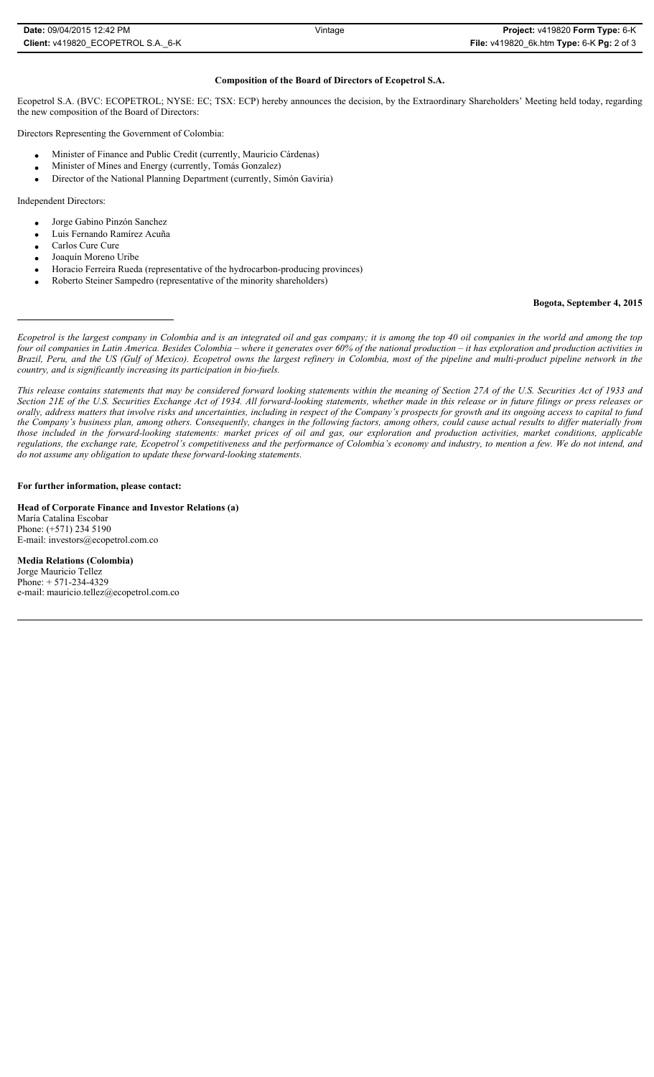| <b>Date:</b> 09/04/2015 12:42 PM   | Vintage | Project: v419820 Form Type: 6-K           |
|------------------------------------|---------|-------------------------------------------|
| Client: v419820 ECOPETROL S.A. 6-K |         | File: v419820 6k.htm Type: 6-K Pg: 2 of 3 |

# **Composition of the Board of Directors of Ecopetrol S.A.**

Ecopetrol S.A. (BVC: ECOPETROL; NYSE: EC; TSX: ECP) hereby announces the decision, by the Extraordinary Shareholders' Meeting held today, regarding the new composition of the Board of Directors:

Directors Representing the Government of Colombia:

- Minister of Finance and Public Credit (currently, Mauricio Cárdenas)
- x Minister of Mines and Energy (currently, Tomás Gonzalez)
- Director of the National Planning Department (currently, Simón Gaviria)

Independent Directors:

- Jorge Gabino Pinzón Sanchez
- Luis Fernando Ramírez Acuña
- Carlos Cure Cure
- Joaquín Moreno Uribe
- Horacio Ferreira Rueda (representative of the hydrocarbon-producing provinces)
- x Roberto Steiner Sampedro (representative of the minority shareholders)

### **Bogota, September 4, 2015**

*Ecopetrol is the largest company in Colombia and is an integrated oil and gas company; it is among the top 40 oil companies in the world and among the top four oil companies in Latin America. Besides Colombia – where it generates over 60% of the national production – it has exploration and production activities in* Brazil, Peru, and the US (Gulf of Mexico). Ecopetrol owns the largest refinery in Colombia, most of the pipeline and multi-product pipeline network in the *country, and is significantly increasing its participation in bio-fuels.* 

*This release contains statements that may be considered forward looking statements within the meaning of Section 27A of the U.S. Securities Act of 1933 and Section 21E of the U.S. Securities Exchange Act of 1934. All forward-looking statements, whether made in this release or in future filings or press releases or orally, address matters that involve risks and uncertainties, including in respect of the Company's prospects for growth and its ongoing access to capital to fund the Company's business plan, among others. Consequently, changes in the following factors, among others, could cause actual results to differ materially from those included in the forward-looking statements: market prices of oil and gas, our exploration and production activities, market conditions, applicable regulations, the exchange rate, Ecopetrol's competitiveness and the performance of Colombia's economy and industry, to mention a few. We do not intend, and do not assume any obligation to update these forward-looking statements.*

#### **For further information, please contact:**

**Head of Corporate Finance and Investor Relations (a)** María Catalina Escobar Phone: (+571) 234 5190 E-mail: investors@ecopetrol.com.co

**Media Relations (Colombia)**  Jorge Mauricio Tellez Phone: + 571-234-4329 e-mail: mauricio.tellez@ecopetrol.com.co